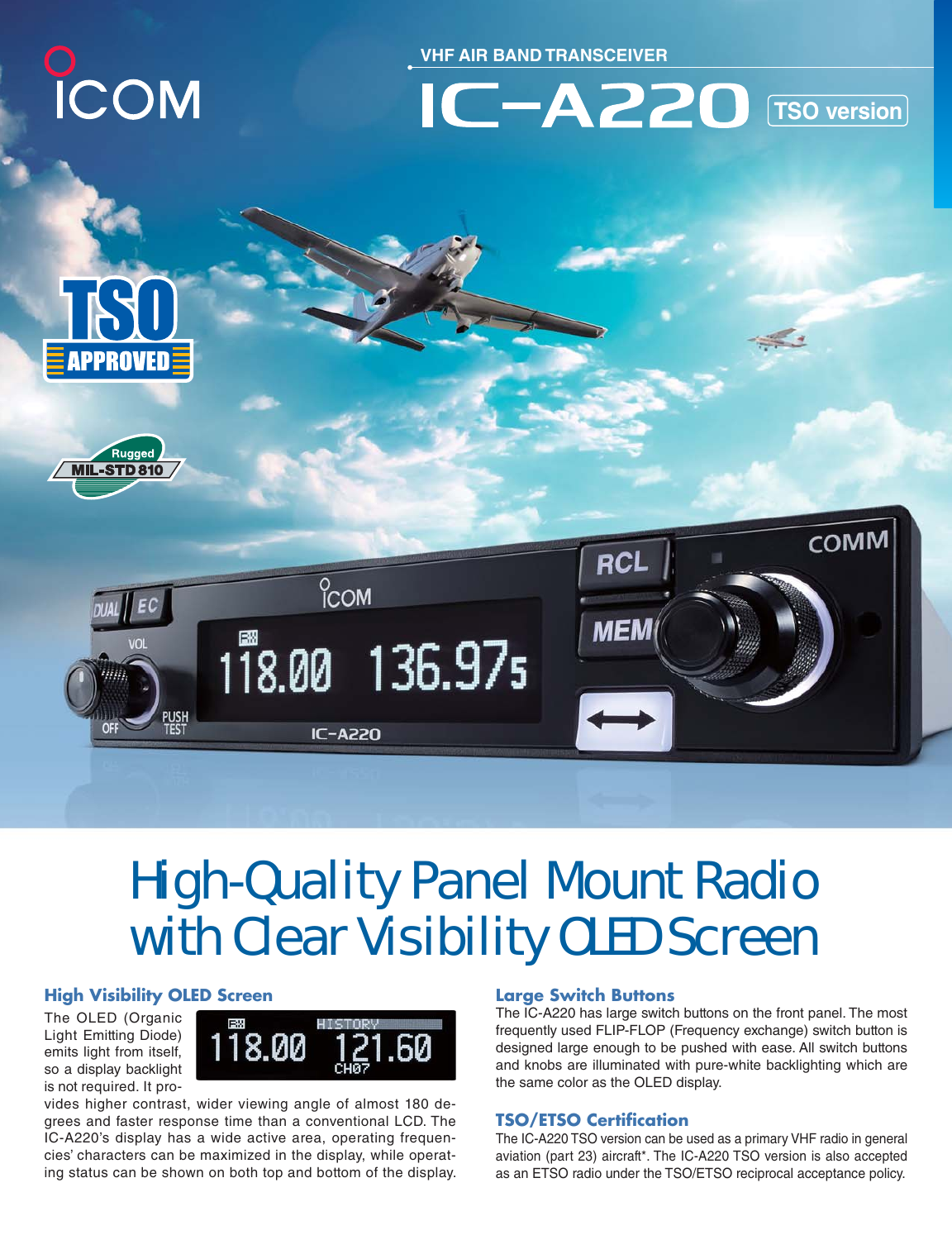

**VHF AIR BAND TRANSCEIVER**



 $\mathcal{L}$ 







# High-Quality Panel Mount Radio with Clear Visibility OLED Screen

## **High Visibility OLED Screen**

The OLED (Organic Light Emitting Diode) emits light from itself, so a display backlight is not required. It pro-



vides higher contrast, wider viewing angle of almost 180 degrees and faster response time than a conventional LCD. The IC-A220's display has a wide active area, operating frequencies' characters can be maximized in the display, while operating status can be shown on both top and bottom of the display.

#### **Large Switch Buttons**

The IC-A220 has large switch buttons on the front panel. The most frequently used FLIP-FLOP (Frequency exchange) switch button is designed large enough to be pushed with ease. All switch buttons and knobs are illuminated with pure-white backlighting which are the same color as the OLED display.

## **TSO/ETSO Certification**

The IC-A220 TSO version can be used as a primary VHF radio in general aviation (part 23) aircraft\*. The IC-A220 TSO version is also accepted as an ETSO radio under the TSO/ETSO reciprocal acceptance policy.